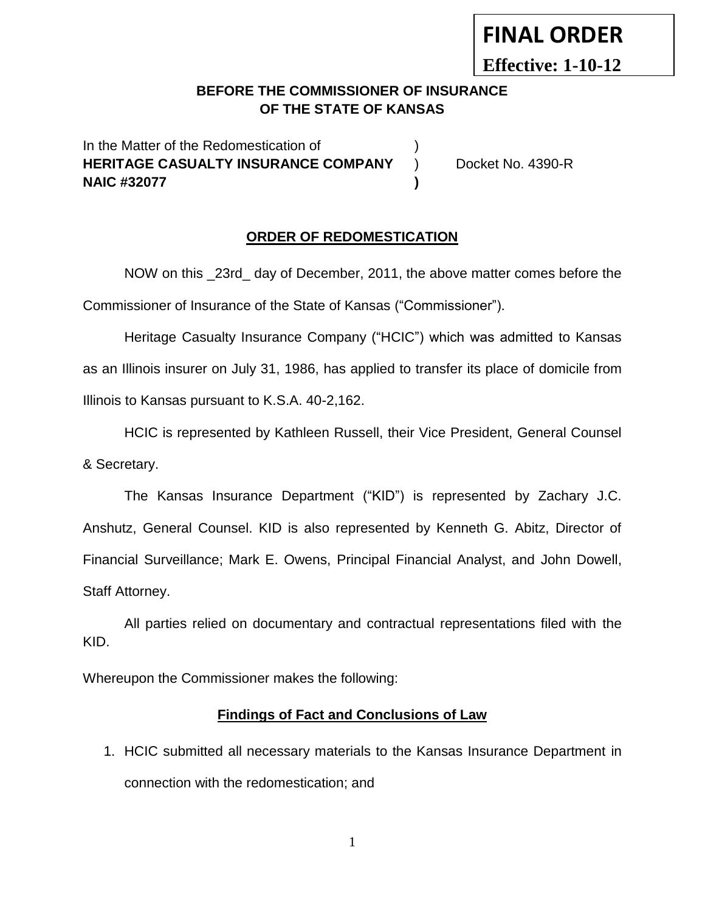# **FINAL ORDER**

**Effective: 1-10-12**

# **BEFORE THE COMMISSIONER OF INSURANCE OF THE STATE OF KANSAS**

In the Matter of the Redomestication of  $\hspace{1.5cm}$  ) **HERITAGE CASUALTY INSURANCE COMPANY** ) Docket No. 4390-R **NAIC #32077 )**

#### **ORDER OF REDOMESTICATION**

NOW on this 23rd day of December, 2011, the above matter comes before the Commissioner of Insurance of the State of Kansas ("Commissioner").

Heritage Casualty Insurance Company ("HCIC") which was admitted to Kansas as an Illinois insurer on July 31, 1986, has applied to transfer its place of domicile from Illinois to Kansas pursuant to K.S.A. 40-2,162.

HCIC is represented by Kathleen Russell, their Vice President, General Counsel & Secretary.

The Kansas Insurance Department ("KID") is represented by Zachary J.C. Anshutz, General Counsel. KID is also represented by Kenneth G. Abitz, Director of Financial Surveillance; Mark E. Owens, Principal Financial Analyst, and John Dowell, Staff Attorney.

All parties relied on documentary and contractual representations filed with the KID.

Whereupon the Commissioner makes the following:

#### **Findings of Fact and Conclusions of Law**

1. HCIC submitted all necessary materials to the Kansas Insurance Department in connection with the redomestication; and

1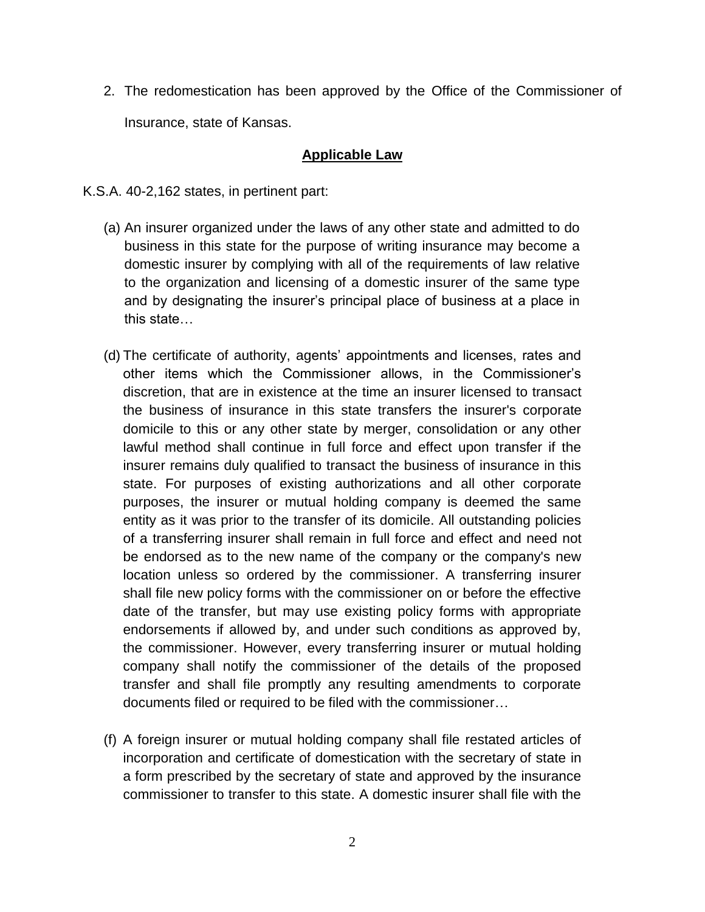2. The redomestication has been approved by the Office of the Commissioner of Insurance, state of Kansas.

## **Applicable Law**

- K.S.A. 40-2,162 states, in pertinent part:
	- (a) An insurer organized under the laws of any other state and admitted to do business in this state for the purpose of writing insurance may become a domestic insurer by complying with all of the requirements of law relative to the organization and licensing of a domestic insurer of the same type and by designating the insurer's principal place of business at a place in this state…
	- (d) The certificate of authority, agents' appointments and licenses, rates and other items which the Commissioner allows, in the Commissioner's discretion, that are in existence at the time an insurer licensed to transact the business of insurance in this state transfers the insurer's corporate domicile to this or any other state by merger, consolidation or any other lawful method shall continue in full force and effect upon transfer if the insurer remains duly qualified to transact the business of insurance in this state. For purposes of existing authorizations and all other corporate purposes, the insurer or mutual holding company is deemed the same entity as it was prior to the transfer of its domicile. All outstanding policies of a transferring insurer shall remain in full force and effect and need not be endorsed as to the new name of the company or the company's new location unless so ordered by the commissioner. A transferring insurer shall file new policy forms with the commissioner on or before the effective date of the transfer, but may use existing policy forms with appropriate endorsements if allowed by, and under such conditions as approved by, the commissioner. However, every transferring insurer or mutual holding company shall notify the commissioner of the details of the proposed transfer and shall file promptly any resulting amendments to corporate documents filed or required to be filed with the commissioner…
	- (f) A foreign insurer or mutual holding company shall file restated articles of incorporation and certificate of domestication with the secretary of state in a form prescribed by the secretary of state and approved by the insurance commissioner to transfer to this state. A domestic insurer shall file with the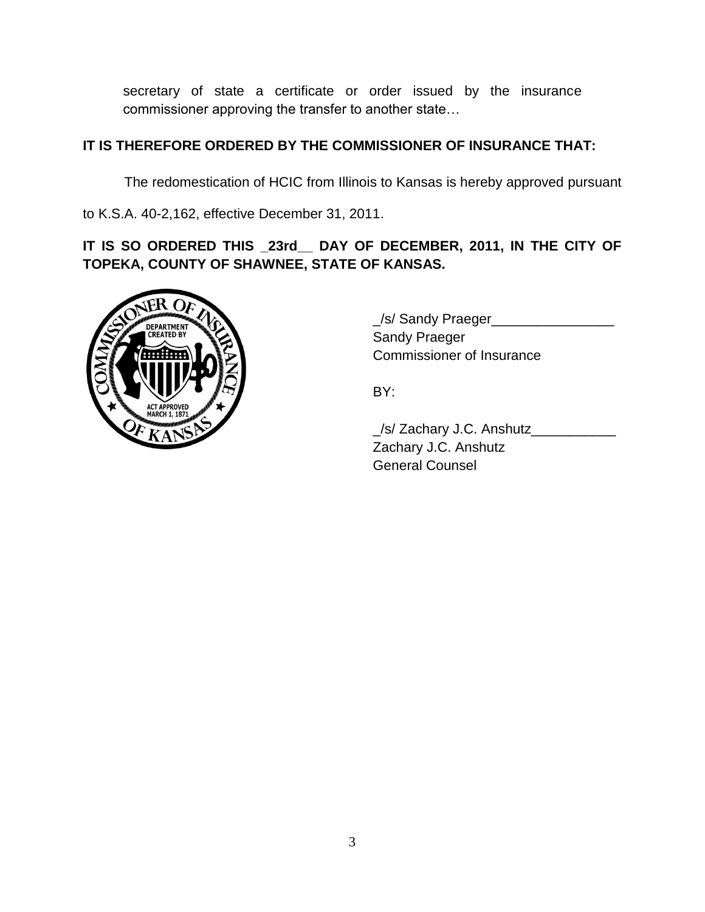secretary of state a certificate or order issued by the insurance commissioner approving the transfer to another state…

# **IT IS THEREFORE ORDERED BY THE COMMISSIONER OF INSURANCE THAT:**

The redomestication of HCIC from Illinois to Kansas is hereby approved pursuant

to K.S.A. 40-2,162, effective December 31, 2011.

**IT IS SO ORDERED THIS \_23rd\_\_ DAY OF DECEMBER, 2011, IN THE CITY OF TOPEKA, COUNTY OF SHAWNEE, STATE OF KANSAS.**



\_/s/ Sandy Praeger\_\_\_\_\_\_\_\_\_\_\_\_\_\_\_\_ Sandy Praeger Commissioner of Insurance

BY:

\_/s/ Zachary J.C. Anshutz\_\_\_\_\_\_\_\_\_\_\_ Zachary J.C. Anshutz General Counsel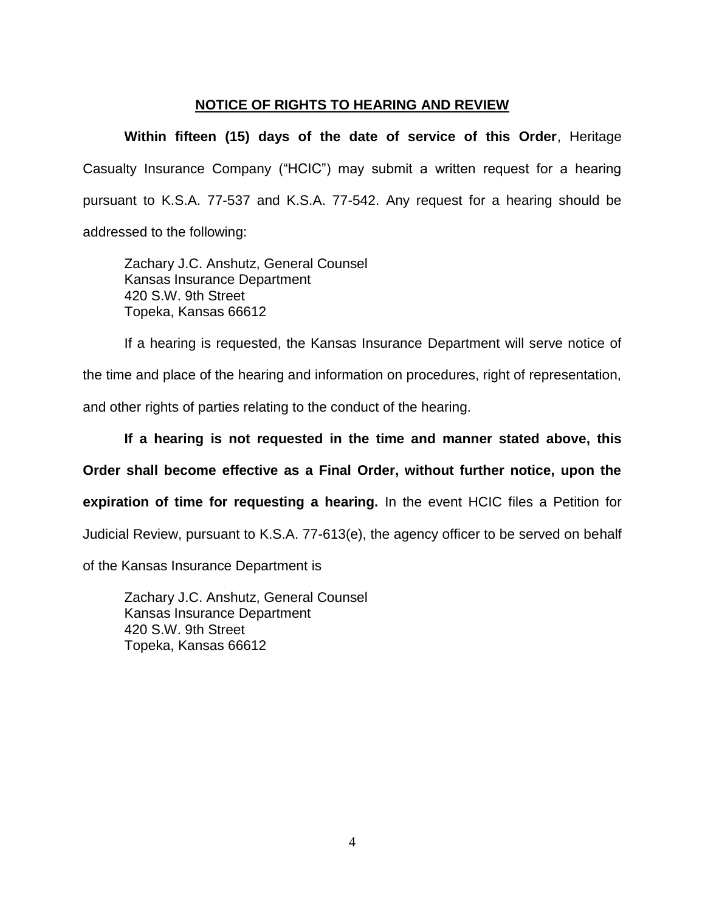## **NOTICE OF RIGHTS TO HEARING AND REVIEW**

**Within fifteen (15) days of the date of service of this Order**, Heritage Casualty Insurance Company ("HCIC") may submit a written request for a hearing pursuant to K.S.A. 77-537 and K.S.A. 77-542. Any request for a hearing should be addressed to the following:

Zachary J.C. Anshutz, General Counsel Kansas Insurance Department 420 S.W. 9th Street Topeka, Kansas 66612

If a hearing is requested, the Kansas Insurance Department will serve notice of the time and place of the hearing and information on procedures, right of representation, and other rights of parties relating to the conduct of the hearing.

**If a hearing is not requested in the time and manner stated above, this Order shall become effective as a Final Order, without further notice, upon the expiration of time for requesting a hearing.** In the event HCIC files a Petition for Judicial Review, pursuant to K.S.A. 77-613(e), the agency officer to be served on behalf of the Kansas Insurance Department is

Zachary J.C. Anshutz, General Counsel Kansas Insurance Department 420 S.W. 9th Street Topeka, Kansas 66612